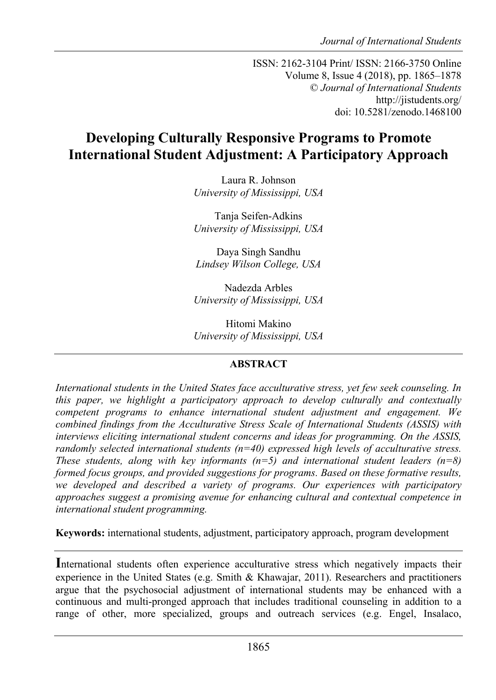ISSN: 2162-3104 Print/ ISSN: 2166-3750 Online Volume 8, Issue 4 (2018), pp. 1865–1878 © *Journal of International Students* http://jistudents.org/ doi: 10.5281/zenodo.1468100

# **Developing Culturally Responsive Programs to Promote International Student Adjustment: A Participatory Approach**

Laura R. Johnson *University of Mississippi, USA*

Tanja Seifen-Adkins *University of Mississippi, USA*

Daya Singh Sandhu *Lindsey Wilson College, USA*

Nadezda Arbles *University of Mississippi, USA*

Hitomi Makino *University of Mississippi, USA*

## **ABSTRACT**

*International students in the United States face acculturative stress, yet few seek counseling. In this paper, we highlight a participatory approach to develop culturally and contextually competent programs to enhance international student adjustment and engagement. We combined findings from the Acculturative Stress Scale of International Students (ASSIS) with interviews eliciting international student concerns and ideas for programming. On the ASSIS, randomly selected international students (n=40) expressed high levels of acculturative stress. These students, along with key informants*  $(n=5)$  *and international student leaders*  $(n=8)$ *formed focus groups, and provided suggestions for programs. Based on these formative results, we developed and described a variety of programs. Our experiences with participatory approaches suggest a promising avenue for enhancing cultural and contextual competence in international student programming.*

**Keywords:** international students, adjustment, participatory approach, program development

**I**nternational students often experience acculturative stress which negatively impacts their experience in the United States (e.g. Smith & Khawajar, 2011). Researchers and practitioners argue that the psychosocial adjustment of international students may be enhanced with a continuous and multi-pronged approach that includes traditional counseling in addition to a range of other, more specialized, groups and outreach services (e.g. Engel, Insalaco,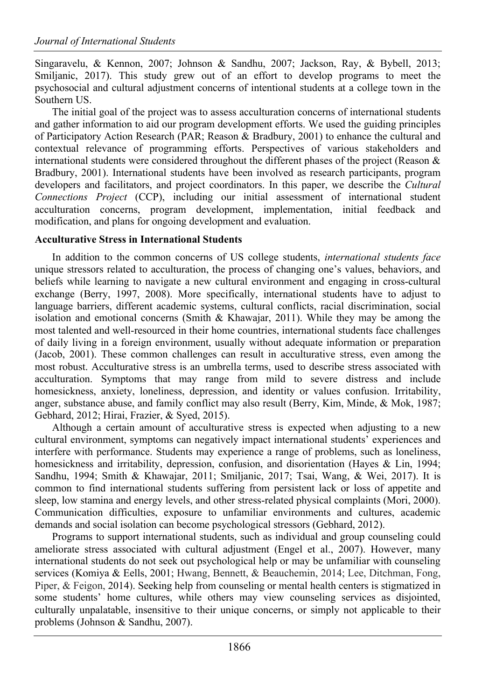Singaravelu, & Kennon, 2007; Johnson & Sandhu, 2007; Jackson, Ray, & Bybell, 2013; Smiljanic, 2017). This study grew out of an effort to develop programs to meet the psychosocial and cultural adjustment concerns of intentional students at a college town in the Southern US.

The initial goal of the project was to assess acculturation concerns of international students and gather information to aid our program development efforts. We used the guiding principles of Participatory Action Research (PAR; Reason & Bradbury, 2001) to enhance the cultural and contextual relevance of programming efforts. Perspectives of various stakeholders and international students were considered throughout the different phases of the project (Reason  $\&$ Bradbury, 2001). International students have been involved as research participants, program developers and facilitators, and project coordinators. In this paper, we describe the *Cultural Connections Project* (CCP), including our initial assessment of international student acculturation concerns, program development, implementation, initial feedback and modification, and plans for ongoing development and evaluation.

#### **Acculturative Stress in International Students**

In addition to the common concerns of US college students, *international students face*  unique stressors related to acculturation, the process of changing one's values, behaviors, and beliefs while learning to navigate a new cultural environment and engaging in cross-cultural exchange (Berry, 1997, 2008). More specifically, international students have to adjust to language barriers, different academic systems, cultural conflicts, racial discrimination, social isolation and emotional concerns (Smith & Khawajar, 2011). While they may be among the most talented and well-resourced in their home countries, international students face challenges of daily living in a foreign environment, usually without adequate information or preparation (Jacob, 2001). These common challenges can result in acculturative stress, even among the most robust. Acculturative stress is an umbrella terms, used to describe stress associated with acculturation. Symptoms that may range from mild to severe distress and include homesickness, anxiety, loneliness, depression, and identity or values confusion. Irritability, anger, substance abuse, and family conflict may also result (Berry, Kim, Minde, & Mok, 1987; Gebhard, 2012; Hirai, Frazier, & Syed, 2015).

Although a certain amount of acculturative stress is expected when adjusting to a new cultural environment, symptoms can negatively impact international students' experiences and interfere with performance. Students may experience a range of problems, such as loneliness, homesickness and irritability, depression, confusion, and disorientation (Hayes & Lin, 1994; Sandhu, 1994; Smith & Khawajar, 2011; Smiljanic, 2017; Tsai, Wang, & Wei, 2017). It is common to find international students suffering from persistent lack or loss of appetite and sleep, low stamina and energy levels, and other stress-related physical complaints (Mori, 2000). Communication difficulties, exposure to unfamiliar environments and cultures, academic demands and social isolation can become psychological stressors (Gebhard, 2012).

Programs to support international students, such as individual and group counseling could ameliorate stress associated with cultural adjustment (Engel et al., 2007). However, many international students do not seek out psychological help or may be unfamiliar with counseling services (Komiya & Eells, 2001; Hwang, Bennett, & Beauchemin, 2014; Lee, Ditchman, Fong, Piper, & Feigon, 2014). Seeking help from counseling or mental health centers is stigmatized in some students' home cultures, while others may view counseling services as disjointed, culturally unpalatable, insensitive to their unique concerns, or simply not applicable to their problems (Johnson & Sandhu, 2007).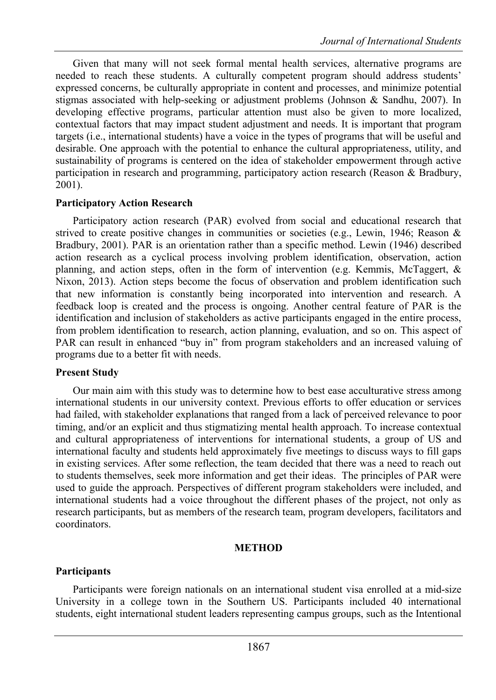Given that many will not seek formal mental health services, alternative programs are needed to reach these students. A culturally competent program should address students' expressed concerns, be culturally appropriate in content and processes, and minimize potential stigmas associated with help-seeking or adjustment problems (Johnson & Sandhu, 2007). In developing effective programs, particular attention must also be given to more localized, contextual factors that may impact student adjustment and needs. It is important that program targets (i.e., international students) have a voice in the types of programs that will be useful and desirable. One approach with the potential to enhance the cultural appropriateness, utility, and sustainability of programs is centered on the idea of stakeholder empowerment through active participation in research and programming, participatory action research (Reason & Bradbury, 2001).

#### **Participatory Action Research**

Participatory action research (PAR) evolved from social and educational research that strived to create positive changes in communities or societies (e.g., Lewin, 1946; Reason & Bradbury, 2001). PAR is an orientation rather than a specific method. Lewin (1946) described action research as a cyclical process involving problem identification, observation, action planning, and action steps, often in the form of intervention (e.g. Kemmis, McTaggert, & Nixon, 2013). Action steps become the focus of observation and problem identification such that new information is constantly being incorporated into intervention and research. A feedback loop is created and the process is ongoing. Another central feature of PAR is the identification and inclusion of stakeholders as active participants engaged in the entire process, from problem identification to research, action planning, evaluation, and so on. This aspect of PAR can result in enhanced "buy in" from program stakeholders and an increased valuing of programs due to a better fit with needs.

#### **Present Study**

Our main aim with this study was to determine how to best ease acculturative stress among international students in our university context. Previous efforts to offer education or services had failed, with stakeholder explanations that ranged from a lack of perceived relevance to poor timing, and/or an explicit and thus stigmatizing mental health approach. To increase contextual and cultural appropriateness of interventions for international students, a group of US and international faculty and students held approximately five meetings to discuss ways to fill gaps in existing services. After some reflection, the team decided that there was a need to reach out to students themselves, seek more information and get their ideas. The principles of PAR were used to guide the approach. Perspectives of different program stakeholders were included, and international students had a voice throughout the different phases of the project, not only as research participants, but as members of the research team, program developers, facilitators and coordinators.

## **METHOD**

## **Participants**

Participants were foreign nationals on an international student visa enrolled at a mid-size University in a college town in the Southern US. Participants included 40 international students, eight international student leaders representing campus groups, such as the Intentional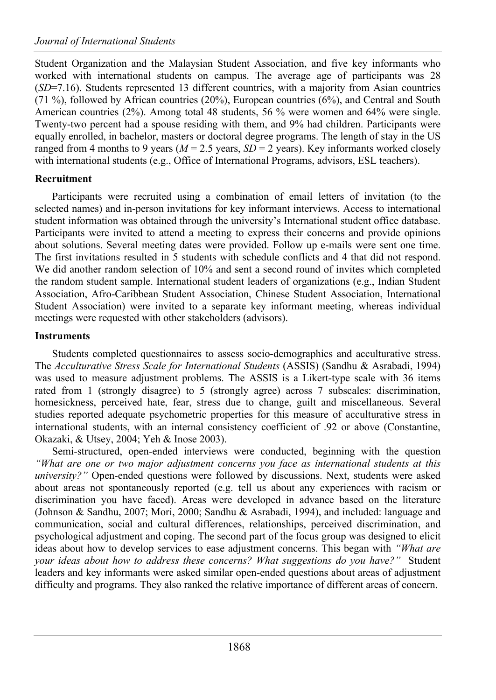Student Organization and the Malaysian Student Association, and five key informants who worked with international students on campus. The average age of participants was 28 (*SD*=7.16). Students represented 13 different countries, with a majority from Asian countries  $(71\%)$ , followed by African countries (20%), European countries (6%), and Central and South American countries (2%). Among total 48 students, 56 % were women and 64% were single. Twenty-two percent had a spouse residing with them, and 9% had children. Participants were equally enrolled, in bachelor, masters or doctoral degree programs. The length of stay in the US ranged from 4 months to 9 years ( $M = 2.5$  years,  $SD = 2$  years). Key informants worked closely with international students (e.g., Office of International Programs, advisors, ESL teachers).

# **Recruitment**

Participants were recruited using a combination of email letters of invitation (to the selected names) and in-person invitations for key informant interviews. Access to international student information was obtained through the university's International student office database. Participants were invited to attend a meeting to express their concerns and provide opinions about solutions. Several meeting dates were provided. Follow up e-mails were sent one time. The first invitations resulted in 5 students with schedule conflicts and 4 that did not respond. We did another random selection of 10% and sent a second round of invites which completed the random student sample. International student leaders of organizations (e.g., Indian Student Association, Afro-Caribbean Student Association, Chinese Student Association, International Student Association) were invited to a separate key informant meeting, whereas individual meetings were requested with other stakeholders (advisors).

## **Instruments**

Students completed questionnaires to assess socio-demographics and acculturative stress. The *Acculturative Stress Scale for International Students* (ASSIS) (Sandhu & Asrabadi, 1994) was used to measure adjustment problems. The ASSIS is a Likert-type scale with 36 items rated from 1 (strongly disagree) to 5 (strongly agree) across 7 subscales: discrimination, homesickness, perceived hate, fear, stress due to change, guilt and miscellaneous. Several studies reported adequate psychometric properties for this measure of acculturative stress in international students, with an internal consistency coefficient of .92 or above (Constantine, Okazaki, & Utsey, 2004; Yeh & Inose 2003).

Semi-structured, open-ended interviews were conducted, beginning with the question *"What are one or two major adjustment concerns you face as international students at this university?"* Open-ended questions were followed by discussions. Next, students were asked about areas not spontaneously reported (e.g. tell us about any experiences with racism or discrimination you have faced). Areas were developed in advance based on the literature (Johnson & Sandhu, 2007; Mori, 2000; Sandhu & Asrabadi, 1994), and included: language and communication, social and cultural differences, relationships, perceived discrimination, and psychological adjustment and coping. The second part of the focus group was designed to elicit ideas about how to develop services to ease adjustment concerns. This began with *"What are your ideas about how to address these concerns? What suggestions do you have?"* Student leaders and key informants were asked similar open-ended questions about areas of adjustment difficulty and programs. They also ranked the relative importance of different areas of concern.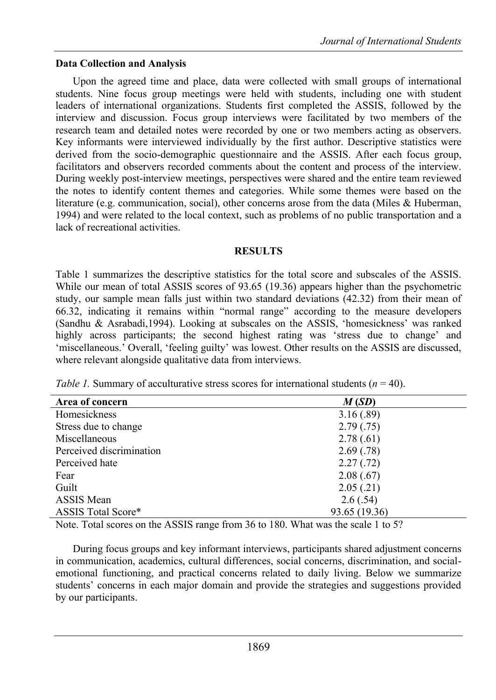## **Data Collection and Analysis**

Upon the agreed time and place, data were collected with small groups of international students. Nine focus group meetings were held with students, including one with student leaders of international organizations. Students first completed the ASSIS, followed by the interview and discussion. Focus group interviews were facilitated by two members of the research team and detailed notes were recorded by one or two members acting as observers. Key informants were interviewed individually by the first author. Descriptive statistics were derived from the socio-demographic questionnaire and the ASSIS. After each focus group, facilitators and observers recorded comments about the content and process of the interview. During weekly post-interview meetings, perspectives were shared and the entire team reviewed the notes to identify content themes and categories. While some themes were based on the literature (e.g. communication, social), other concerns arose from the data (Miles & Huberman, 1994) and were related to the local context, such as problems of no public transportation and a lack of recreational activities.

#### **RESULTS**

Table 1 summarizes the descriptive statistics for the total score and subscales of the ASSIS. While our mean of total ASSIS scores of 93.65 (19.36) appears higher than the psychometric study, our sample mean falls just within two standard deviations (42.32) from their mean of 66.32, indicating it remains within "normal range" according to the measure developers (Sandhu & Asrabadi,1994). Looking at subscales on the ASSIS, 'homesickness' was ranked highly across participants; the second highest rating was 'stress due to change' and 'miscellaneous.' Overall, 'feeling guilty' was lowest. Other results on the ASSIS are discussed, where relevant alongside qualitative data from interviews.

*Table 1.* Summary of acculturative stress scores for international students ( $n = 40$ ).

| Area of concern           | M(SD)         |  |
|---------------------------|---------------|--|
| Homesickness              | 3.16(.89)     |  |
| Stress due to change      | 2.79(.75)     |  |
| Miscellaneous             | 2.78(.61)     |  |
| Perceived discrimination  | 2.69(0.78)    |  |
| Perceived hate            | 2.27(.72)     |  |
| Fear                      | 2.08(.67)     |  |
| Guilt                     | 2.05(.21)     |  |
| <b>ASSIS</b> Mean         | 2.6(.54)      |  |
| <b>ASSIS Total Score*</b> | 93.65 (19.36) |  |

Note. Total scores on the ASSIS range from 36 to 180. What was the scale 1 to 5?

During focus groups and key informant interviews, participants shared adjustment concerns in communication, academics, cultural differences, social concerns, discrimination, and socialemotional functioning, and practical concerns related to daily living. Below we summarize students' concerns in each major domain and provide the strategies and suggestions provided by our participants.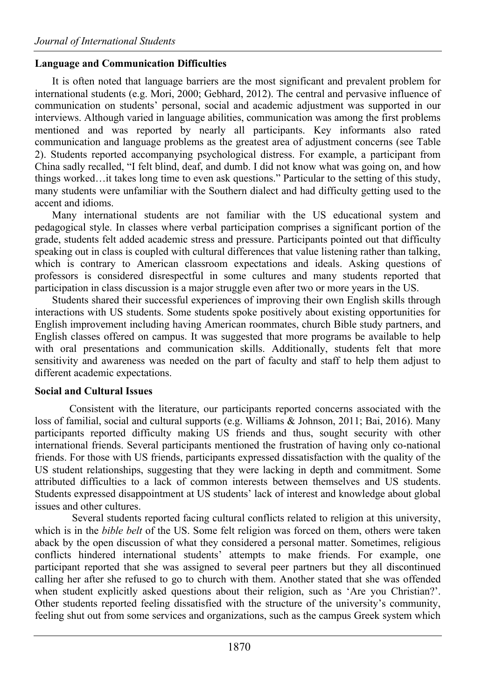#### **Language and Communication Difficulties**

It is often noted that language barriers are the most significant and prevalent problem for international students (e.g. Mori, 2000; Gebhard, 2012). The central and pervasive influence of communication on students' personal, social and academic adjustment was supported in our interviews. Although varied in language abilities, communication was among the first problems mentioned and was reported by nearly all participants. Key informants also rated communication and language problems as the greatest area of adjustment concerns (see Table 2). Students reported accompanying psychological distress. For example, a participant from China sadly recalled, "I felt blind, deaf, and dumb. I did not know what was going on, and how things worked…it takes long time to even ask questions." Particular to the setting of this study, many students were unfamiliar with the Southern dialect and had difficulty getting used to the accent and idioms.

Many international students are not familiar with the US educational system and pedagogical style. In classes where verbal participation comprises a significant portion of the grade, students felt added academic stress and pressure. Participants pointed out that difficulty speaking out in class is coupled with cultural differences that value listening rather than talking, which is contrary to American classroom expectations and ideals. Asking questions of professors is considered disrespectful in some cultures and many students reported that participation in class discussion is a major struggle even after two or more years in the US.

Students shared their successful experiences of improving their own English skills through interactions with US students. Some students spoke positively about existing opportunities for English improvement including having American roommates, church Bible study partners, and English classes offered on campus. It was suggested that more programs be available to help with oral presentations and communication skills. Additionally, students felt that more sensitivity and awareness was needed on the part of faculty and staff to help them adjust to different academic expectations.

## **Social and Cultural Issues**

Consistent with the literature, our participants reported concerns associated with the loss of familial, social and cultural supports (e.g. Williams & Johnson, 2011; Bai, 2016). Many participants reported difficulty making US friends and thus, sought security with other international friends. Several participants mentioned the frustration of having only co-national friends. For those with US friends, participants expressed dissatisfaction with the quality of the US student relationships, suggesting that they were lacking in depth and commitment. Some attributed difficulties to a lack of common interests between themselves and US students. Students expressed disappointment at US students' lack of interest and knowledge about global issues and other cultures.

Several students reported facing cultural conflicts related to religion at this university, which is in the *bible belt* of the US. Some felt religion was forced on them, others were taken aback by the open discussion of what they considered a personal matter. Sometimes, religious conflicts hindered international students' attempts to make friends. For example, one participant reported that she was assigned to several peer partners but they all discontinued calling her after she refused to go to church with them. Another stated that she was offended when student explicitly asked questions about their religion, such as 'Are you Christian?'. Other students reported feeling dissatisfied with the structure of the university's community, feeling shut out from some services and organizations, such as the campus Greek system which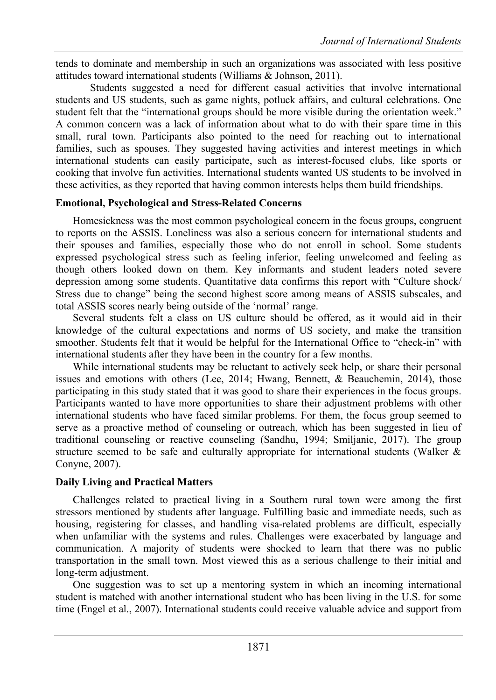tends to dominate and membership in such an organizations was associated with less positive attitudes toward international students (Williams & Johnson, 2011).

Students suggested a need for different casual activities that involve international students and US students, such as game nights, potluck affairs, and cultural celebrations. One student felt that the "international groups should be more visible during the orientation week." A common concern was a lack of information about what to do with their spare time in this small, rural town. Participants also pointed to the need for reaching out to international families, such as spouses. They suggested having activities and interest meetings in which international students can easily participate, such as interest-focused clubs, like sports or cooking that involve fun activities. International students wanted US students to be involved in these activities, as they reported that having common interests helps them build friendships.

#### **Emotional, Psychological and Stress-Related Concerns**

Homesickness was the most common psychological concern in the focus groups, congruent to reports on the ASSIS. Loneliness was also a serious concern for international students and their spouses and families, especially those who do not enroll in school. Some students expressed psychological stress such as feeling inferior, feeling unwelcomed and feeling as though others looked down on them. Key informants and student leaders noted severe depression among some students. Quantitative data confirms this report with "Culture shock/ Stress due to change" being the second highest score among means of ASSIS subscales, and total ASSIS scores nearly being outside of the 'normal' range.

Several students felt a class on US culture should be offered, as it would aid in their knowledge of the cultural expectations and norms of US society, and make the transition smoother. Students felt that it would be helpful for the International Office to "check-in" with international students after they have been in the country for a few months.

While international students may be reluctant to actively seek help, or share their personal issues and emotions with others (Lee, 2014; Hwang, Bennett, & Beauchemin, 2014), those participating in this study stated that it was good to share their experiences in the focus groups. Participants wanted to have more opportunities to share their adjustment problems with other international students who have faced similar problems. For them, the focus group seemed to serve as a proactive method of counseling or outreach, which has been suggested in lieu of traditional counseling or reactive counseling (Sandhu, 1994; Smiljanic, 2017). The group structure seemed to be safe and culturally appropriate for international students (Walker & Conyne, 2007).

#### **Daily Living and Practical Matters**

Challenges related to practical living in a Southern rural town were among the first stressors mentioned by students after language. Fulfilling basic and immediate needs, such as housing, registering for classes, and handling visa-related problems are difficult, especially when unfamiliar with the systems and rules. Challenges were exacerbated by language and communication. A majority of students were shocked to learn that there was no public transportation in the small town. Most viewed this as a serious challenge to their initial and long-term adjustment.

One suggestion was to set up a mentoring system in which an incoming international student is matched with another international student who has been living in the U.S. for some time (Engel et al., 2007). International students could receive valuable advice and support from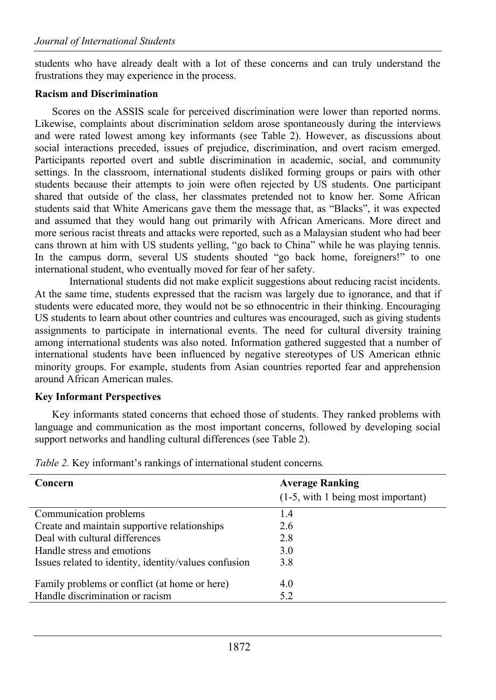students who have already dealt with a lot of these concerns and can truly understand the frustrations they may experience in the process.

## **Racism and Discrimination**

Scores on the ASSIS scale for perceived discrimination were lower than reported norms. Likewise, complaints about discrimination seldom arose spontaneously during the interviews and were rated lowest among key informants (see Table 2). However, as discussions about social interactions preceded, issues of prejudice, discrimination, and overt racism emerged. Participants reported overt and subtle discrimination in academic, social, and community settings. In the classroom, international students disliked forming groups or pairs with other students because their attempts to join were often rejected by US students. One participant shared that outside of the class, her classmates pretended not to know her. Some African students said that White Americans gave them the message that, as "Blacks", it was expected and assumed that they would hang out primarily with African Americans. More direct and more serious racist threats and attacks were reported, such as a Malaysian student who had beer cans thrown at him with US students yelling, "go back to China" while he was playing tennis. In the campus dorm, several US students shouted "go back home, foreigners!" to one international student, who eventually moved for fear of her safety.

International students did not make explicit suggestions about reducing racist incidents. At the same time, students expressed that the racism was largely due to ignorance, and that if students were educated more, they would not be so ethnocentric in their thinking. Encouraging US students to learn about other countries and cultures was encouraged, such as giving students assignments to participate in international events. The need for cultural diversity training among international students was also noted. Information gathered suggested that a number of international students have been influenced by negative stereotypes of US American ethnic minority groups. For example, students from Asian countries reported fear and apprehension around African American males.

# **Key Informant Perspectives**

Key informants stated concerns that echoed those of students. They ranked problems with language and communication as the most important concerns, followed by developing social support networks and handling cultural differences (see Table 2).

| Concern                                               | <b>Average Ranking</b>             |
|-------------------------------------------------------|------------------------------------|
|                                                       | (1-5, with 1 being most important) |
| Communication problems                                | 1.4                                |
| Create and maintain supportive relationships          | 2.6                                |
| Deal with cultural differences                        | 2.8                                |
| Handle stress and emotions                            | 3.0                                |
| Issues related to identity, identity/values confusion | 3.8                                |
| Family problems or conflict (at home or here)         | 4.0                                |
| Handle discrimination or racism                       | 5.2                                |
|                                                       |                                    |

*Table 2.* Key informant's rankings of international student concerns*.*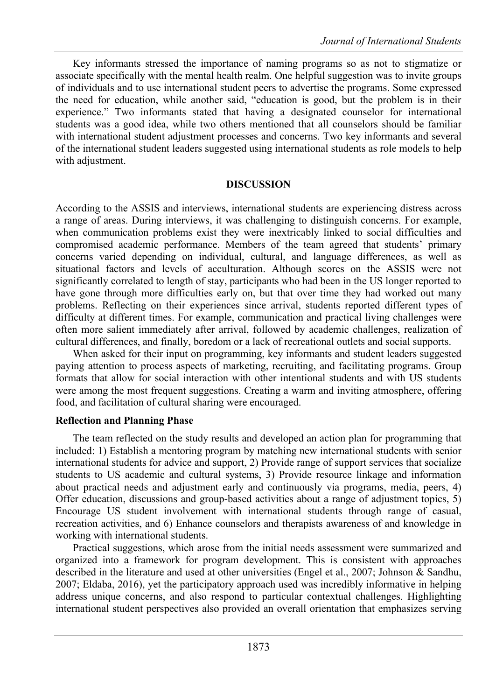Key informants stressed the importance of naming programs so as not to stigmatize or associate specifically with the mental health realm. One helpful suggestion was to invite groups of individuals and to use international student peers to advertise the programs. Some expressed the need for education, while another said, "education is good, but the problem is in their experience." Two informants stated that having a designated counselor for international students was a good idea, while two others mentioned that all counselors should be familiar with international student adjustment processes and concerns. Two key informants and several of the international student leaders suggested using international students as role models to help with adjustment.

#### **DISCUSSION**

According to the ASSIS and interviews, international students are experiencing distress across a range of areas. During interviews, it was challenging to distinguish concerns. For example, when communication problems exist they were inextricably linked to social difficulties and compromised academic performance. Members of the team agreed that students' primary concerns varied depending on individual, cultural, and language differences, as well as situational factors and levels of acculturation. Although scores on the ASSIS were not significantly correlated to length of stay, participants who had been in the US longer reported to have gone through more difficulties early on, but that over time they had worked out many problems. Reflecting on their experiences since arrival, students reported different types of difficulty at different times. For example, communication and practical living challenges were often more salient immediately after arrival, followed by academic challenges, realization of cultural differences, and finally, boredom or a lack of recreational outlets and social supports.

When asked for their input on programming, key informants and student leaders suggested paying attention to process aspects of marketing, recruiting, and facilitating programs. Group formats that allow for social interaction with other intentional students and with US students were among the most frequent suggestions. Creating a warm and inviting atmosphere, offering food, and facilitation of cultural sharing were encouraged.

#### **Reflection and Planning Phase**

The team reflected on the study results and developed an action plan for programming that included: 1) Establish a mentoring program by matching new international students with senior international students for advice and support, 2) Provide range of support services that socialize students to US academic and cultural systems, 3) Provide resource linkage and information about practical needs and adjustment early and continuously via programs, media, peers, 4) Offer education, discussions and group-based activities about a range of adjustment topics, 5) Encourage US student involvement with international students through range of casual, recreation activities, and 6) Enhance counselors and therapists awareness of and knowledge in working with international students.

Practical suggestions, which arose from the initial needs assessment were summarized and organized into a framework for program development. This is consistent with approaches described in the literature and used at other universities (Engel et al., 2007; Johnson & Sandhu, 2007; Eldaba, 2016), yet the participatory approach used was incredibly informative in helping address unique concerns, and also respond to particular contextual challenges. Highlighting international student perspectives also provided an overall orientation that emphasizes serving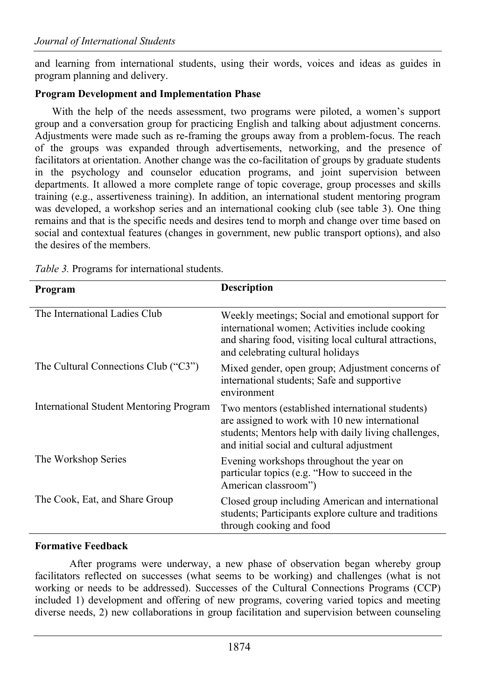and learning from international students, using their words, voices and ideas as guides in program planning and delivery.

## **Program Development and Implementation Phase**

With the help of the needs assessment, two programs were piloted, a women's support group and a conversation group for practicing English and talking about adjustment concerns. Adjustments were made such as re-framing the groups away from a problem-focus. The reach of the groups was expanded through advertisements, networking, and the presence of facilitators at orientation. Another change was the co-facilitation of groups by graduate students in the psychology and counselor education programs, and joint supervision between departments. It allowed a more complete range of topic coverage, group processes and skills training (e.g., assertiveness training). In addition, an international student mentoring program was developed, a workshop series and an international cooking club (see table 3). One thing remains and that is the specific needs and desires tend to morph and change over time based on social and contextual features (changes in government, new public transport options), and also the desires of the members.

| Program                                        | <b>Description</b>                                                                                                                                                                                       |  |
|------------------------------------------------|----------------------------------------------------------------------------------------------------------------------------------------------------------------------------------------------------------|--|
| The International Ladies Club                  | Weekly meetings; Social and emotional support for<br>international women; Activities include cooking<br>and sharing food, visiting local cultural attractions,<br>and celebrating cultural holidays      |  |
| The Cultural Connections Club ("C3")           | Mixed gender, open group; Adjustment concerns of<br>international students; Safe and supportive<br>environment                                                                                           |  |
| <b>International Student Mentoring Program</b> | Two mentors (established international students)<br>are assigned to work with 10 new international<br>students; Mentors help with daily living challenges,<br>and initial social and cultural adjustment |  |
| The Workshop Series                            | Evening workshops throughout the year on<br>particular topics (e.g. "How to succeed in the<br>American classroom")                                                                                       |  |
| The Cook, Eat, and Share Group                 | Closed group including American and international<br>students; Participants explore culture and traditions<br>through cooking and food                                                                   |  |

*Table 3.* Programs for international students.

## **Formative Feedback**

After programs were underway, a new phase of observation began whereby group facilitators reflected on successes (what seems to be working) and challenges (what is not working or needs to be addressed). Successes of the Cultural Connections Programs (CCP) included 1) development and offering of new programs, covering varied topics and meeting diverse needs, 2) new collaborations in group facilitation and supervision between counseling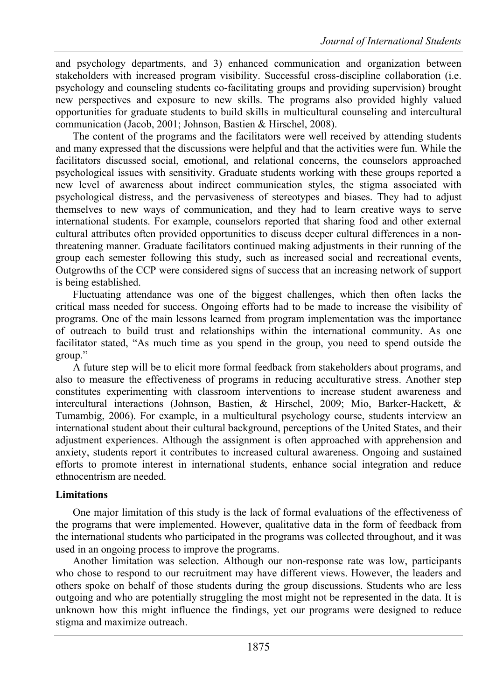and psychology departments, and 3) enhanced communication and organization between stakeholders with increased program visibility. Successful cross-discipline collaboration (i.e. psychology and counseling students co-facilitating groups and providing supervision) brought new perspectives and exposure to new skills. The programs also provided highly valued opportunities for graduate students to build skills in multicultural counseling and intercultural communication (Jacob, 2001; Johnson, Bastien & Hirschel, 2008).

The content of the programs and the facilitators were well received by attending students and many expressed that the discussions were helpful and that the activities were fun. While the facilitators discussed social, emotional, and relational concerns, the counselors approached psychological issues with sensitivity. Graduate students working with these groups reported a new level of awareness about indirect communication styles, the stigma associated with psychological distress, and the pervasiveness of stereotypes and biases. They had to adjust themselves to new ways of communication, and they had to learn creative ways to serve international students. For example, counselors reported that sharing food and other external cultural attributes often provided opportunities to discuss deeper cultural differences in a nonthreatening manner. Graduate facilitators continued making adjustments in their running of the group each semester following this study, such as increased social and recreational events, Outgrowths of the CCP were considered signs of success that an increasing network of support is being established.

Fluctuating attendance was one of the biggest challenges, which then often lacks the critical mass needed for success. Ongoing efforts had to be made to increase the visibility of programs. One of the main lessons learned from program implementation was the importance of outreach to build trust and relationships within the international community. As one facilitator stated, "As much time as you spend in the group, you need to spend outside the group."

A future step will be to elicit more formal feedback from stakeholders about programs, and also to measure the effectiveness of programs in reducing acculturative stress. Another step constitutes experimenting with classroom interventions to increase student awareness and intercultural interactions (Johnson, Bastien, & Hirschel, 2009; Mio, Barker-Hackett, & Tumambig, 2006). For example, in a multicultural psychology course, students interview an international student about their cultural background, perceptions of the United States, and their adjustment experiences. Although the assignment is often approached with apprehension and anxiety, students report it contributes to increased cultural awareness. Ongoing and sustained efforts to promote interest in international students, enhance social integration and reduce ethnocentrism are needed.

#### **Limitations**

One major limitation of this study is the lack of formal evaluations of the effectiveness of the programs that were implemented. However, qualitative data in the form of feedback from the international students who participated in the programs was collected throughout, and it was used in an ongoing process to improve the programs.

Another limitation was selection. Although our non-response rate was low, participants who chose to respond to our recruitment may have different views. However, the leaders and others spoke on behalf of those students during the group discussions. Students who are less outgoing and who are potentially struggling the most might not be represented in the data. It is unknown how this might influence the findings, yet our programs were designed to reduce stigma and maximize outreach.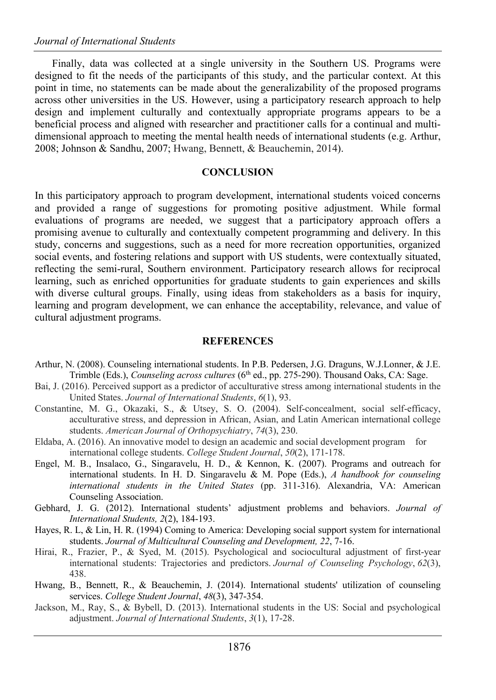Finally, data was collected at a single university in the Southern US. Programs were designed to fit the needs of the participants of this study, and the particular context. At this point in time, no statements can be made about the generalizability of the proposed programs across other universities in the US. However, using a participatory research approach to help design and implement culturally and contextually appropriate programs appears to be a beneficial process and aligned with researcher and practitioner calls for a continual and multidimensional approach to meeting the mental health needs of international students (e.g. Arthur, 2008; Johnson & Sandhu, 2007; Hwang, Bennett, & Beauchemin, 2014).

#### **CONCLUSION**

In this participatory approach to program development, international students voiced concerns and provided a range of suggestions for promoting positive adjustment. While formal evaluations of programs are needed, we suggest that a participatory approach offers a promising avenue to culturally and contextually competent programming and delivery. In this study, concerns and suggestions, such as a need for more recreation opportunities, organized social events, and fostering relations and support with US students, were contextually situated, reflecting the semi-rural, Southern environment. Participatory research allows for reciprocal learning, such as enriched opportunities for graduate students to gain experiences and skills with diverse cultural groups. Finally, using ideas from stakeholders as a basis for inquiry, learning and program development, we can enhance the acceptability, relevance, and value of cultural adjustment programs.

#### **REFERENCES**

- Arthur, N. (2008). Counseling international students. In P.B. Pedersen, J.G. Draguns, W.J.Lonner, & J.E. Trimble (Eds.), *Counseling across cultures* (6<sup>th</sup> ed., pp. 275-290). Thousand Oaks, CA: Sage.
- Bai, J. (2016). Perceived support as a predictor of acculturative stress among international students in the United States. *Journal of International Students*, *6*(1), 93.
- Constantine, M. G., Okazaki, S., & Utsey, S. O. (2004). Self-concealment, social self-efficacy, acculturative stress, and depression in African, Asian, and Latin American international college students. *American Journal of Orthopsychiatry*, *74*(3), 230.
- Eldaba, A. (2016). An innovative model to design an academic and social development program for international college students. *College Student Journal*, *50*(2), 171-178.
- Engel, M. B., Insalaco, G., Singaravelu, H. D., & Kennon, K. (2007). Programs and outreach for international students. In H. D. Singaravelu & M. Pope (Eds.), *A handbook for counseling international students in the United States* (pp. 311-316). Alexandria, VA: American Counseling Association.
- Gebhard, J. G. (2012). International students' adjustment problems and behaviors. *Journal of International Students, 2*(2), 184-193.
- Hayes, R. L, & Lin, H. R. (1994) Coming to America: Developing social support system for international students. *Journal of Multicultural Counseling and Development, 22*, 7-16.
- Hirai, R., Frazier, P., & Syed, M. (2015). Psychological and sociocultural adjustment of first-year international students: Trajectories and predictors. *Journal of Counseling Psychology*, *62*(3), 438.
- Hwang, B., Bennett, R., & Beauchemin, J. (2014). International students' utilization of counseling services. *College Student Journal*, *48*(3), 347-354.
- Jackson, M., Ray, S., & Bybell, D. (2013). International students in the US: Social and psychological adjustment. *Journal of International Students*, *3*(1), 17-28.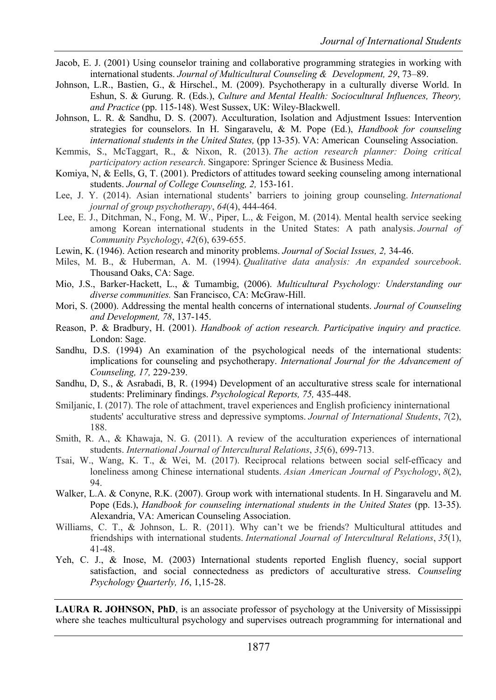- Jacob, E. J. (2001) Using counselor training and collaborative programming strategies in working with international students. *Journal of Multicultural Counseling & Development, 29*, 73–89.
- Johnson, L.R., Bastien, G., & Hirschel., M. (2009). Psychotherapy in a culturally diverse World. In Eshun, S. & Gurung. R. (Eds.), *Culture and Mental Health: Sociocultural Influences, Theory, and Practice* (pp. 115-148). West Sussex, UK: Wiley-Blackwell.
- Johnson, L. R. & Sandhu, D. S. (2007). Acculturation, Isolation and Adjustment Issues: Intervention strategies for counselors. In H. Singaravelu, & M. Pope (Ed.), *Handbook for counseling international students in the United States,* (pp 13-35). VA: American Counseling Association.
- Kemmis, S., McTaggart, R., & Nixon, R. (2013). *The action research planner: Doing critical participatory action research*. Singapore: Springer Science & Business Media.
- Komiya, N, & Eells, G, T. (2001). Predictors of attitudes toward seeking counseling among international students. *Journal of College Counseling, 2,* 153-161.
- Lee, J. Y. (2014). Asian international students' barriers to joining group counseling. *International journal of group psychotherapy*, *64*(4), 444-464.
- Lee, E. J., Ditchman, N., Fong, M. W., Piper, L., & Feigon, M. (2014). Mental health service seeking among Korean international students in the United States: A path analysis. *Journal of Community Psychology*, *42*(6), 639-655.
- Lewin, K. (1946). Action research and minority problems. *Journal of Social Issues, 2,* 34-46.
- Miles, M. B., & Huberman, A. M. (1994). *Qualitative data analysis: An expanded sourcebook*. Thousand Oaks, CA: Sage.
- Mio, J.S., Barker-Hackett, L., & Tumambig, (2006). *Multicultural Psychology: Understanding our diverse communities.* San Francisco, CA: McGraw-Hill.
- Mori, S. (2000). Addressing the mental health concerns of international students. *Journal of Counseling and Development, 78*, 137-145.
- Reason, P. & Bradbury, H. (2001). *Handbook of action research. Participative inquiry and practice.* London: Sage.
- Sandhu, D.S. (1994) An examination of the psychological needs of the international students: implications for counseling and psychotherapy. *International Journal for the Advancement of Counseling, 17,* 229-239.
- Sandhu, D, S., & Asrabadi, B, R. (1994) Development of an acculturative stress scale for international students: Preliminary findings. *Psychological Reports, 75,* 435-448.
- Smiljanic, I. (2017). The role of attachment, travel experiences and English proficiency ininternational students' acculturative stress and depressive symptoms. *Journal of International Students*, *7*(2), 188.
- Smith, R. A., & Khawaja, N. G. (2011). A review of the acculturation experiences of international students. *International Journal of Intercultural Relations*, *35*(6), 699-713.
- Tsai, W., Wang, K. T., & Wei, M. (2017). Reciprocal relations between social self-efficacy and loneliness among Chinese international students. *Asian American Journal of Psychology*, *8*(2), 94.
- Walker, L.A. & Conyne, R.K. (2007). Group work with international students. In H. Singaravelu and M. Pope (Eds.), *Handbook for counseling international students in the United States* (pp. 13-35). Alexandria, VA: American Counseling Association.
- Williams, C. T., & Johnson, L. R. (2011). Why can't we be friends? Multicultural attitudes and friendships with international students. *International Journal of Intercultural Relations*, *35*(1), 41-48.
- Yeh, C. J., & Inose, M. (2003) International students reported English fluency, social support satisfaction, and social connectedness as predictors of acculturative stress. *Counseling Psychology Quarterly, 16*, 1,15-28.

**LAURA R. JOHNSON, PhD**, is an associate professor of psychology at the University of Mississippi where she teaches multicultural psychology and supervises outreach programming for international and